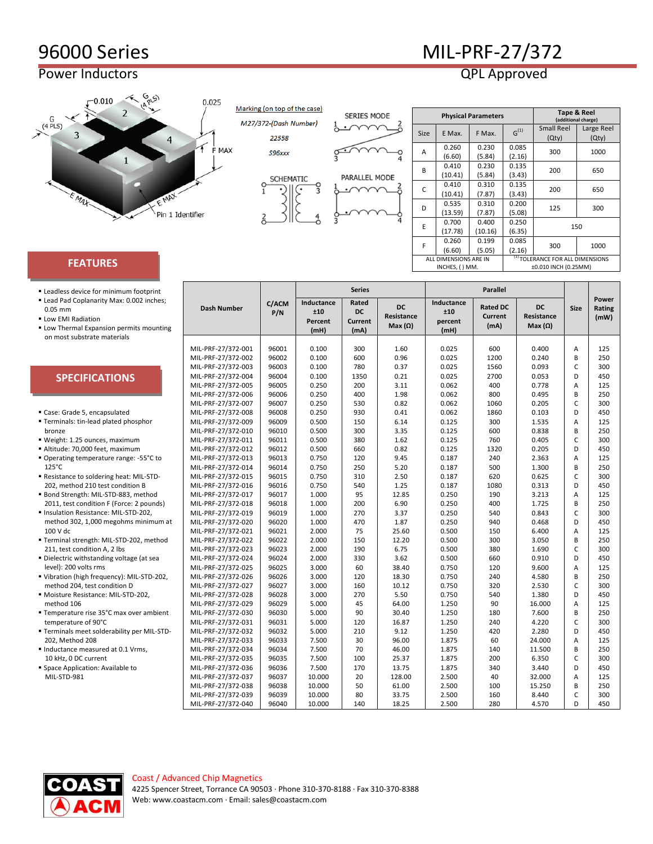## 96000 Series MIL-PRF-27/372

## Power Inductors **CONTEX ACCESS POWER INCORPORATION**



Marking (on top of the case)

M27/372-(Dash Number) 22558

**SERIES MODE** 



S96xxx



|   |                       |         | <b>Physical Parameters</b> | <b>Tape &amp; Reel</b><br>(additional charge) |                                                                                          |            |  |
|---|-----------------------|---------|----------------------------|-----------------------------------------------|------------------------------------------------------------------------------------------|------------|--|
| 5 | <b>Size</b>           |         |                            |                                               | <b>Small Reel</b>                                                                        | Large Reel |  |
|   |                       | E Max.  | F Max.                     |                                               | (Qty)                                                                                    | (Qty)      |  |
|   | A                     | 0.260   | 0.230                      | 0.085                                         |                                                                                          |            |  |
|   |                       | (6.60)  | (5.84)                     | (2.16)                                        | $G^{(1)}$<br>300<br>1000<br>200<br>650<br>200<br>650<br>125<br>300<br>150<br>300<br>1000 |            |  |
|   | B                     | 0.410   | 0.230                      | 0.135                                         |                                                                                          |            |  |
|   |                       | (10.41) | (5.84)                     | (3.43)                                        |                                                                                          |            |  |
|   | C                     | 0.410   | 0.310                      | 0.135                                         |                                                                                          |            |  |
|   |                       | (10.41) | (7.87)                     | (3.43)                                        |                                                                                          |            |  |
|   | D                     | 0.535   | 0.310                      | 0.200                                         |                                                                                          |            |  |
|   |                       | (13.59) | (7.87)                     | (5.08)                                        |                                                                                          |            |  |
|   | E                     | 0.700   | 0.400                      | 0.250                                         |                                                                                          |            |  |
|   |                       | (17.78) | (10.16)                    | (6.35)                                        |                                                                                          |            |  |
|   | F                     | 0.260   | 0.199                      | 0.085                                         |                                                                                          |            |  |
|   |                       | (6.60)  | (5.05)                     | (2.16)                                        |                                                                                          |            |  |
|   | ALL DIMENSIONS ARE IN |         |                            | <sup>(1)</sup> TOLERANCE FOR ALL DIMENSIONS   |                                                                                          |            |  |
|   | INCHES, () MM.        |         |                            | ±0.010 INCH (0.25MM)                          |                                                                                          |            |  |

## **FEATURES**

- Leadless device for minimum footprint Lead Pad Coplanarity Max: 0.002 inches;
- 0.05 mm **Low EMI Radiation**
- Low Thermal Expansion permits mount on most substrate materials

| es;<br>nting | <b>Dash Number</b> | C/ACM<br>P/N | Inductance<br>±10<br>Percent<br>(mH) | Rated<br><b>DC</b><br><b>Current</b><br>(mA) | <b>DC</b><br>Resistance<br>Max $(\Omega)$ | Inductance<br>±10<br>percent<br>(mH) | <b>Rated DC</b><br><b>Current</b><br>(mA) | DC<br>Resistance<br>Max $(\Omega)$ | <b>Size</b>  | Power<br>Rating<br>(mW) |
|--------------|--------------------|--------------|--------------------------------------|----------------------------------------------|-------------------------------------------|--------------------------------------|-------------------------------------------|------------------------------------|--------------|-------------------------|
|              |                    |              |                                      |                                              |                                           |                                      |                                           |                                    |              |                         |
|              | MIL-PRF-27/372-001 | 96001        | 0.100                                | 300                                          | 1.60                                      | 0.025                                | 600                                       | 0.400                              | A            | 125                     |
|              | MIL-PRF-27/372-002 | 96002        | 0.100                                | 600                                          | 0.96                                      | 0.025                                | 1200                                      | 0.240                              | B            | 250                     |
|              | MIL-PRF-27/372-003 | 96003        | 0.100                                | 780                                          | 0.37                                      | 0.025                                | 1560                                      | 0.093                              | C            | 300                     |
|              | MIL-PRF-27/372-004 | 96004        | 0.100                                | 1350                                         | 0.21                                      | 0.025                                | 2700                                      | 0.053                              | D            | 450                     |
|              | MIL-PRF-27/372-005 | 96005        | 0.250                                | 200                                          | 3.11                                      | 0.062                                | 400                                       | 0.778                              | A            | 125                     |
|              | MIL-PRF-27/372-006 | 96006        | 0.250                                | 400                                          | 1.98                                      | 0.062                                | 800                                       | 0.495                              | B            | 250                     |
|              | MIL-PRF-27/372-007 | 96007        | 0.250                                | 530                                          | 0.82                                      | 0.062                                | 1060                                      | 0.205                              | C            | 300                     |
|              | MIL-PRF-27/372-008 | 96008        | 0.250                                | 930                                          | 0.41                                      | 0.062                                | 1860                                      | 0.103                              | D            | 450                     |
|              | MIL-PRF-27/372-009 | 96009        | 0.500                                | 150                                          | 6.14                                      | 0.125                                | 300                                       | 1.535                              | A            | 125                     |
|              | MIL-PRF-27/372-010 | 96010        | 0.500                                | 300                                          | 3.35                                      | 0.125                                | 600                                       | 0.838                              | B            | 250                     |
|              | MIL-PRF-27/372-011 | 96011        | 0.500                                | 380                                          | 1.62                                      | 0.125                                | 760                                       | 0.405                              | C            | 300                     |
|              | MIL-PRF-27/372-012 | 96012        | 0.500                                | 660                                          | 0.82                                      | 0.125                                | 1320                                      | 0.205                              | D            | 450                     |
| to           | MIL-PRF-27/372-013 | 96013        | 0.750                                | 120                                          | 9.45                                      | 0.187                                | 240                                       | 2.363                              | A            | 125                     |
|              | MIL-PRF-27/372-014 | 96014        | 0.750                                | 250                                          | 5.20                                      | 0.187                                | 500                                       | 1.300                              | B            | 250                     |
|              | MIL-PRF-27/372-015 | 96015        | 0.750                                | 310                                          | 2.50                                      | 0.187                                | 620                                       | 0.625                              | C            | 300                     |
|              | MIL-PRF-27/372-016 | 96016        | 0.750                                | 540                                          | 1.25                                      | 0.187                                | 1080                                      | 0.313                              | D            | 450                     |
|              | MIL-PRF-27/372-017 | 96017        | 1.000                                | 95                                           | 12.85                                     | 0.250                                | 190                                       | 3.213                              | Α            | 125                     |
| ds)          | MIL-PRF-27/372-018 | 96018        | 1.000                                | 200                                          | 6.90                                      | 0.250                                | 400                                       | 1.725                              | B            | 250                     |
|              | MIL-PRF-27/372-019 | 96019        | 1.000                                | 270                                          | 3.37                                      | 0.250                                | 540                                       | 0.843                              | $\mathsf{C}$ | 300                     |
| um at        | MIL-PRF-27/372-020 | 96020        | 1.000                                | 470                                          | 1.87                                      | 0.250                                | 940                                       | 0.468                              | D            | 450                     |
|              | MIL-PRF-27/372-021 | 96021        | 2.000                                | 75                                           | 25.60                                     | 0.500                                | 150                                       | 6.400                              | Α            | 125                     |
| hod          | MIL-PRF-27/372-022 | 96022        | 2.000                                | 150                                          | 12.20                                     | 0.500                                | 300                                       | 3.050                              | B            | 250                     |
|              | MIL-PRF-27/372-023 | 96023        | 2.000                                | 190                                          | 6.75                                      | 0.500                                | 380                                       | 1.690                              | C            | 300                     |
| a            | MIL-PRF-27/372-024 | 96024        | 2.000                                | 330                                          | 3.62                                      | 0.500                                | 660                                       | 0.910                              | D            | 450                     |
|              | MIL-PRF-27/372-025 | 96025        | 3.000                                | 60                                           | 38.40                                     | 0.750                                | 120                                       | 9.600                              | A            | 125                     |
| 202,         | MIL-PRF-27/372-026 | 96026        | 3.000                                | 120                                          | 18.30                                     | 0.750                                | 240                                       | 4.580                              | B            | 250                     |
|              | MIL-PRF-27/372-027 | 96027        | 3.000                                | 160                                          | 10.12                                     | 0.750                                | 320                                       | 2.530                              | C            | 300                     |
|              | MIL-PRF-27/372-028 | 96028        | 3.000                                | 270                                          | 5.50                                      | 0.750                                | 540                                       | 1.380                              | D            | 450                     |
|              | MIL-PRF-27/372-029 | 96029        | 5.000                                | 45                                           | 64.00                                     | 1.250                                | 90                                        | 16.000                             | A            | 125                     |
| vient        | MIL-PRF-27/372-030 | 96030        | 5.000                                | 90                                           | 30.40                                     | 1.250                                | 180                                       | 7.600                              | B            | 250                     |
|              | MIL-PRF-27/372-031 | 96031        | 5.000                                | 120                                          | 16.87                                     | 1.250                                | 240                                       | 4.220                              | C            | 300                     |
| -STD-        | MIL-PRF-27/372-032 | 96032        | 5.000                                | 210                                          | 9.12                                      | 1.250                                | 420                                       | 2.280                              | D            | 450                     |
|              | MIL-PRF-27/372-033 | 96033        | 7.500                                | 30                                           | 96.00                                     | 1.875                                | 60                                        | 24.000                             | Α            | 125                     |
|              | MIL-PRF-27/372-034 | 96034        | 7.500                                | 70                                           | 46.00                                     | 1.875                                | 140                                       | 11.500                             | B            | 250                     |
|              | MIL-PRF-27/372-035 | 96035        | 7.500                                | 100                                          | 25.37                                     | 1.875                                | 200                                       | 6.350                              | C            | 300                     |
|              | MIL-PRF-27/372-036 | 96036        | 7.500                                | 170                                          | 13.75                                     | 1.875                                | 340                                       | 3.440                              | D            | 450                     |
|              | MIL-PRF-27/372-037 | 96037        | 10.000                               | 20                                           | 128.00                                    | 2.500                                | 40                                        | 32.000                             | A            | 125                     |
|              | MIL-PRF-27/372-038 | 96038        | 10.000                               | 50                                           | 61.00                                     | 2.500                                | 100                                       | 15.250                             | B            | 250                     |
|              | MIL-PRF-27/372-039 | 96039        | 10.000                               | 80                                           | 33.75                                     | 2.500                                | 160                                       | 8.440                              | C            | 300                     |
|              | MIL-PRF-27/372-040 | 96040        | 10.000                               | 140                                          | 18.25                                     | 2.500                                | 280                                       | 4.570                              | D            | 450                     |



- Case: Grade 5, encapsulated
- Terminals: tin-lead plated phosphor bronze

**SPECIFICATIONS**

- Weight: 1.25 ounces, maximum
- Altitude: 70,000 feet, maximum
- Operating temperature range: -55°C 125°C
- Resistance to soldering heat: MIL-STD-202, method 210 test condition B
- **Bond Strength: MIL-STD-883, method** 2011, test condition F (Force: 2 pound
- Insulation Resistance: MIL-STD-202, method 302, 1,000 megohms minimu 100 V dc
- Terminal strength: MIL-STD-202, met 211, test condition A, 2 lbs
- **Dielectric withstanding voltage (at sea** level): 200 volts rms
- Vibration (high frequency): MIL-STD-2 method 204, test condition D
- Moisture Resistance: MIL-STD-202,
- method 106 ■ Temperature rise 35°C max over amb
- temperature of 90°C Terminals meet solderability per MIL-202, Method 208
- Inductance measured at 0.1 Vrms, 10 kHz, 0 DC current
- **Space Application: Available to** MIL-STD-981



**Series Parallel**